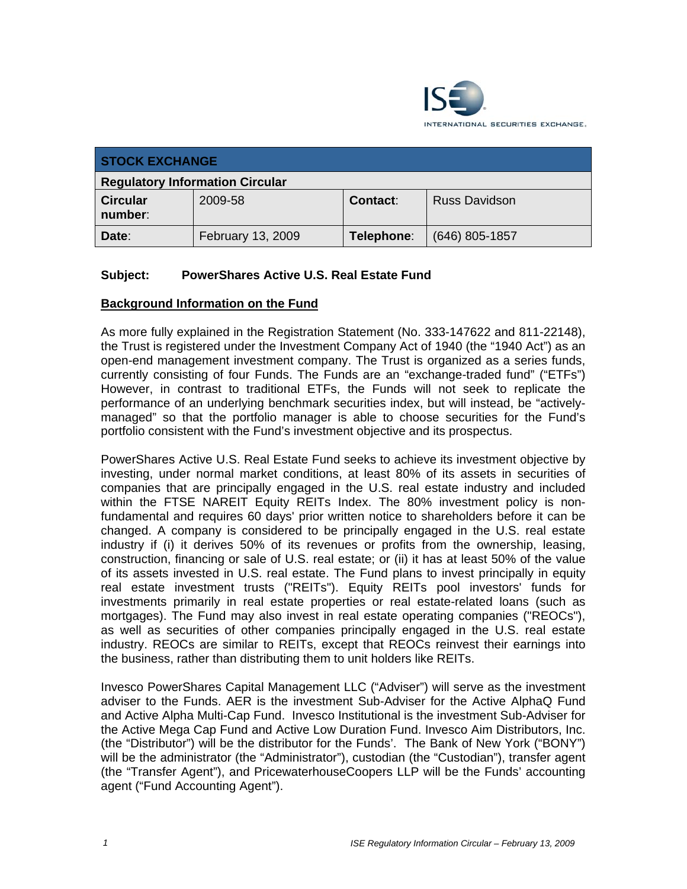

| <b>STOCK EXCHANGE</b>                  |                          |                 |                      |  |
|----------------------------------------|--------------------------|-----------------|----------------------|--|
| <b>Regulatory Information Circular</b> |                          |                 |                      |  |
| <b>Circular</b><br>number:             | 2009-58                  | <b>Contact:</b> | <b>Russ Davidson</b> |  |
| Date:                                  | <b>February 13, 2009</b> | Telephone:      | $(646)$ 805-1857     |  |

### **Subject: PowerShares Active U.S. Real Estate Fund**

#### **Background Information on the Fund**

As more fully explained in the Registration Statement (No. 333-147622 and 811-22148), the Trust is registered under the Investment Company Act of 1940 (the "1940 Act") as an open-end management investment company. The Trust is organized as a series funds, currently consisting of four Funds. The Funds are an "exchange-traded fund" ("ETFs") However, in contrast to traditional ETFs, the Funds will not seek to replicate the performance of an underlying benchmark securities index, but will instead, be "activelymanaged" so that the portfolio manager is able to choose securities for the Fund's portfolio consistent with the Fund's investment objective and its prospectus.

PowerShares Active U.S. Real Estate Fund seeks to achieve its investment objective by investing, under normal market conditions, at least 80% of its assets in securities of companies that are principally engaged in the U.S. real estate industry and included within the FTSE NAREIT Equity REITs Index. The 80% investment policy is nonfundamental and requires 60 days' prior written notice to shareholders before it can be changed. A company is considered to be principally engaged in the U.S. real estate industry if (i) it derives 50% of its revenues or profits from the ownership, leasing, construction, financing or sale of U.S. real estate; or (ii) it has at least 50% of the value of its assets invested in U.S. real estate. The Fund plans to invest principally in equity real estate investment trusts ("REITs"). Equity REITs pool investors' funds for investments primarily in real estate properties or real estate-related loans (such as mortgages). The Fund may also invest in real estate operating companies ("REOCs"), as well as securities of other companies principally engaged in the U.S. real estate industry. REOCs are similar to REITs, except that REOCs reinvest their earnings into the business, rather than distributing them to unit holders like REITs.

Invesco PowerShares Capital Management LLC ("Adviser") will serve as the investment adviser to the Funds. AER is the investment Sub-Adviser for the Active AlphaQ Fund and Active Alpha Multi-Cap Fund. Invesco Institutional is the investment Sub-Adviser for the Active Mega Cap Fund and Active Low Duration Fund. Invesco Aim Distributors, Inc. (the "Distributor") will be the distributor for the Funds'. The Bank of New York ("BONY") will be the administrator (the "Administrator"), custodian (the "Custodian"), transfer agent (the "Transfer Agent"), and PricewaterhouseCoopers LLP will be the Funds' accounting agent ("Fund Accounting Agent").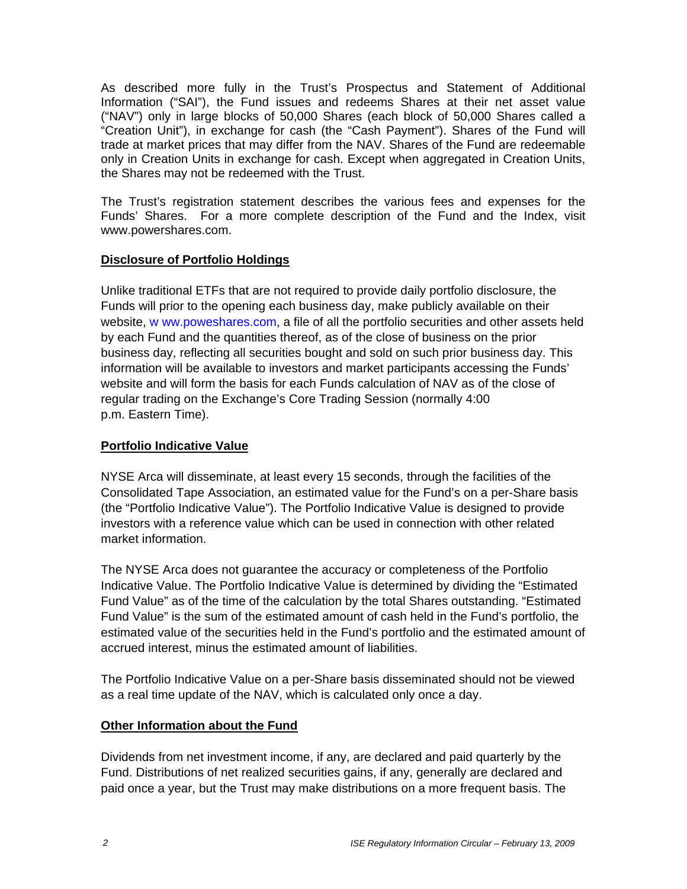As described more fully in the Trust's Prospectus and Statement of Additional Information ("SAI"), the Fund issues and redeems Shares at their net asset value ("NAV") only in large blocks of 50,000 Shares (each block of 50,000 Shares called a "Creation Unit"), in exchange for cash (the "Cash Payment"). Shares of the Fund will trade at market prices that may differ from the NAV. Shares of the Fund are redeemable only in Creation Units in exchange for cash. Except when aggregated in Creation Units, the Shares may not be redeemed with the Trust.

The Trust's registration statement describes the various fees and expenses for the Funds' Shares. For a more complete description of the Fund and the Index, visit www.powershares.com.

### **Disclosure of Portfolio Holdings**

Unlike traditional ETFs that are not required to provide daily portfolio disclosure, the Funds will prior to the opening each business day, make publicly available on their website, w ww.poweshares.com, a file of all the portfolio securities and other assets held by each Fund and the quantities thereof, as of the close of business on the prior business day, reflecting all securities bought and sold on such prior business day. This information will be available to investors and market participants accessing the Funds' website and will form the basis for each Funds calculation of NAV as of the close of regular trading on the Exchange's Core Trading Session (normally 4:00 p.m. Eastern Time).

# **Portfolio Indicative Value**

NYSE Arca will disseminate, at least every 15 seconds, through the facilities of the Consolidated Tape Association, an estimated value for the Fund's on a per-Share basis (the "Portfolio Indicative Value"). The Portfolio Indicative Value is designed to provide investors with a reference value which can be used in connection with other related market information.

The NYSE Arca does not guarantee the accuracy or completeness of the Portfolio Indicative Value. The Portfolio Indicative Value is determined by dividing the "Estimated Fund Value" as of the time of the calculation by the total Shares outstanding. "Estimated Fund Value" is the sum of the estimated amount of cash held in the Fund's portfolio, the estimated value of the securities held in the Fund's portfolio and the estimated amount of accrued interest, minus the estimated amount of liabilities.

The Portfolio Indicative Value on a per-Share basis disseminated should not be viewed as a real time update of the NAV, which is calculated only once a day.

# **Other Information about the Fund**

Dividends from net investment income, if any, are declared and paid quarterly by the Fund. Distributions of net realized securities gains, if any, generally are declared and paid once a year, but the Trust may make distributions on a more frequent basis. The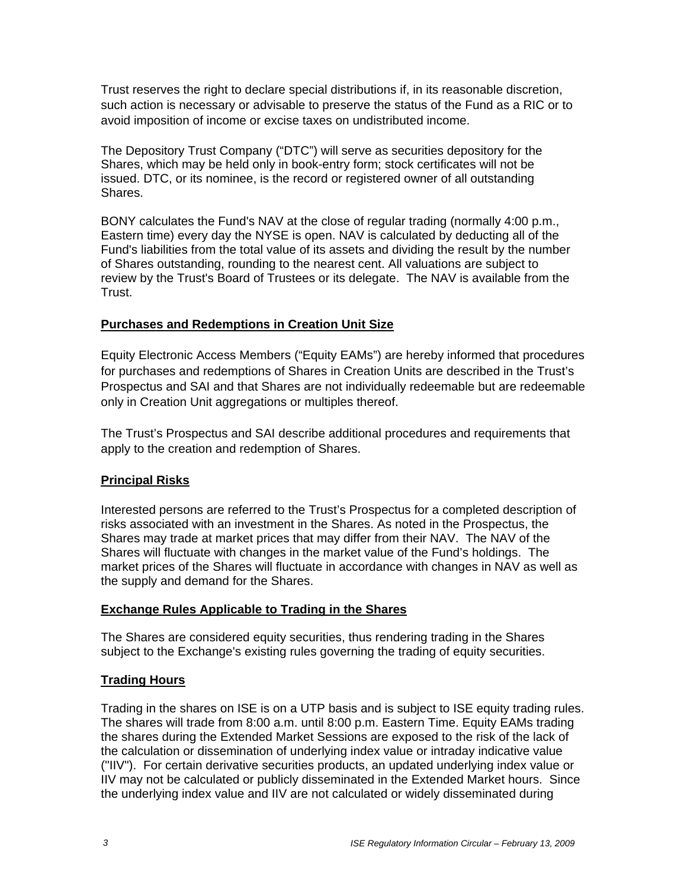Trust reserves the right to declare special distributions if, in its reasonable discretion, such action is necessary or advisable to preserve the status of the Fund as a RIC or to avoid imposition of income or excise taxes on undistributed income.

The Depository Trust Company ("DTC") will serve as securities depository for the Shares, which may be held only in book-entry form; stock certificates will not be issued. DTC, or its nominee, is the record or registered owner of all outstanding Shares.

BONY calculates the Fund's NAV at the close of regular trading (normally 4:00 p.m., Eastern time) every day the NYSE is open. NAV is calculated by deducting all of the Fund's liabilities from the total value of its assets and dividing the result by the number of Shares outstanding, rounding to the nearest cent. All valuations are subject to review by the Trust's Board of Trustees or its delegate. The NAV is available from the Trust.

#### **Purchases and Redemptions in Creation Unit Size**

Equity Electronic Access Members ("Equity EAMs") are hereby informed that procedures for purchases and redemptions of Shares in Creation Units are described in the Trust's Prospectus and SAI and that Shares are not individually redeemable but are redeemable only in Creation Unit aggregations or multiples thereof.

The Trust's Prospectus and SAI describe additional procedures and requirements that apply to the creation and redemption of Shares.

#### **Principal Risks**

Interested persons are referred to the Trust's Prospectus for a completed description of risks associated with an investment in the Shares. As noted in the Prospectus, the Shares may trade at market prices that may differ from their NAV. The NAV of the Shares will fluctuate with changes in the market value of the Fund's holdings. The market prices of the Shares will fluctuate in accordance with changes in NAV as well as the supply and demand for the Shares.

### **Exchange Rules Applicable to Trading in the Shares**

The Shares are considered equity securities, thus rendering trading in the Shares subject to the Exchange's existing rules governing the trading of equity securities.

### **Trading Hours**

Trading in the shares on ISE is on a UTP basis and is subject to ISE equity trading rules. The shares will trade from 8:00 a.m. until 8:00 p.m. Eastern Time. Equity EAMs trading the shares during the Extended Market Sessions are exposed to the risk of the lack of the calculation or dissemination of underlying index value or intraday indicative value ("IIV"). For certain derivative securities products, an updated underlying index value or IIV may not be calculated or publicly disseminated in the Extended Market hours. Since the underlying index value and IIV are not calculated or widely disseminated during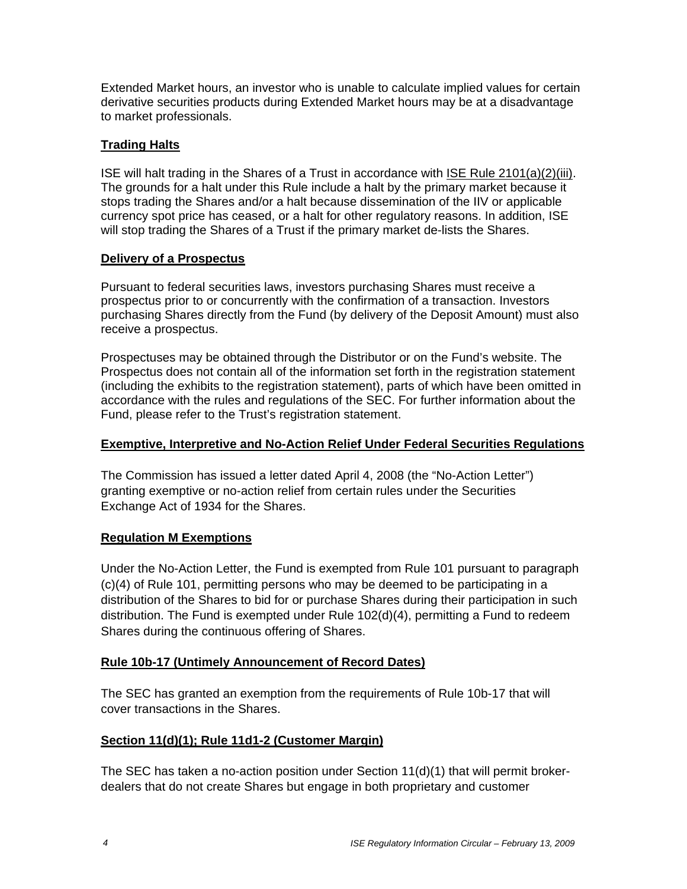Extended Market hours, an investor who is unable to calculate implied values for certain derivative securities products during Extended Market hours may be at a disadvantage to market professionals.

### **Trading Halts**

ISE will halt trading in the Shares of a Trust in accordance with ISE Rule 2101(a)(2)(iii). The grounds for a halt under this Rule include a halt by the primary market because it stops trading the Shares and/or a halt because dissemination of the IIV or applicable currency spot price has ceased, or a halt for other regulatory reasons. In addition, ISE will stop trading the Shares of a Trust if the primary market de-lists the Shares.

### **Delivery of a Prospectus**

Pursuant to federal securities laws, investors purchasing Shares must receive a prospectus prior to or concurrently with the confirmation of a transaction. Investors purchasing Shares directly from the Fund (by delivery of the Deposit Amount) must also receive a prospectus.

Prospectuses may be obtained through the Distributor or on the Fund's website. The Prospectus does not contain all of the information set forth in the registration statement (including the exhibits to the registration statement), parts of which have been omitted in accordance with the rules and regulations of the SEC. For further information about the Fund, please refer to the Trust's registration statement.

### **Exemptive, Interpretive and No-Action Relief Under Federal Securities Regulations**

The Commission has issued a letter dated April 4, 2008 (the "No-Action Letter") granting exemptive or no-action relief from certain rules under the Securities Exchange Act of 1934 for the Shares.

# **Regulation M Exemptions**

Under the No-Action Letter, the Fund is exempted from Rule 101 pursuant to paragraph (c)(4) of Rule 101, permitting persons who may be deemed to be participating in a distribution of the Shares to bid for or purchase Shares during their participation in such distribution. The Fund is exempted under Rule 102(d)(4), permitting a Fund to redeem Shares during the continuous offering of Shares.

### **Rule 10b-17 (Untimely Announcement of Record Dates)**

The SEC has granted an exemption from the requirements of Rule 10b-17 that will cover transactions in the Shares.

# **Section 11(d)(1); Rule 11d1-2 (Customer Margin)**

The SEC has taken a no-action position under Section 11(d)(1) that will permit brokerdealers that do not create Shares but engage in both proprietary and customer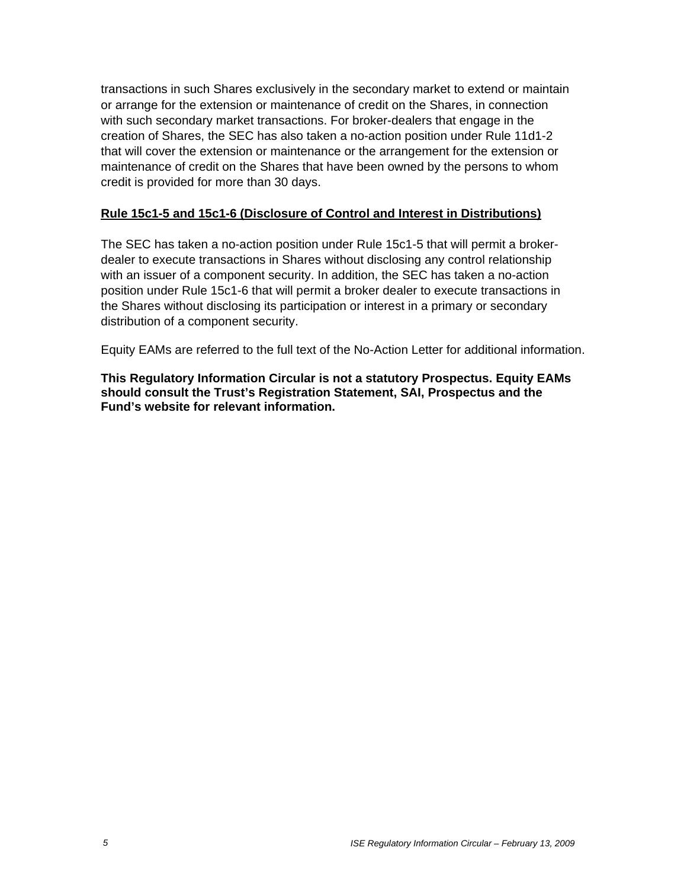transactions in such Shares exclusively in the secondary market to extend or maintain or arrange for the extension or maintenance of credit on the Shares, in connection with such secondary market transactions. For broker-dealers that engage in the creation of Shares, the SEC has also taken a no-action position under Rule 11d1-2 that will cover the extension or maintenance or the arrangement for the extension or maintenance of credit on the Shares that have been owned by the persons to whom credit is provided for more than 30 days.

### **Rule 15c1-5 and 15c1-6 (Disclosure of Control and Interest in Distributions)**

The SEC has taken a no-action position under Rule 15c1-5 that will permit a brokerdealer to execute transactions in Shares without disclosing any control relationship with an issuer of a component security. In addition, the SEC has taken a no-action position under Rule 15c1-6 that will permit a broker dealer to execute transactions in the Shares without disclosing its participation or interest in a primary or secondary distribution of a component security.

Equity EAMs are referred to the full text of the No-Action Letter for additional information.

**This Regulatory Information Circular is not a statutory Prospectus. Equity EAMs should consult the Trust's Registration Statement, SAI, Prospectus and the Fund's website for relevant information.**